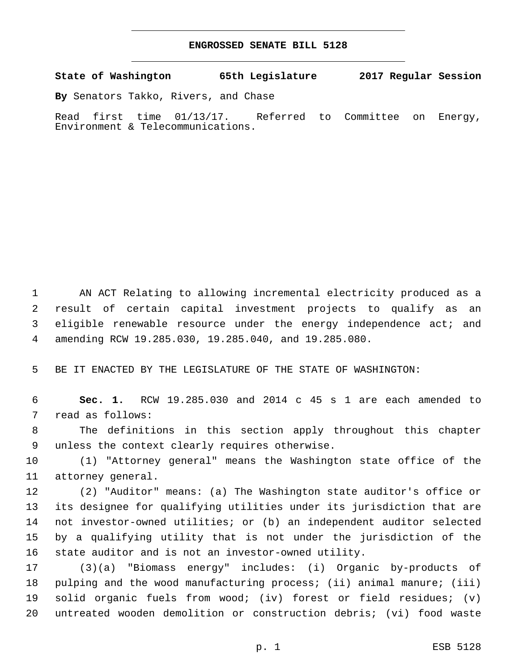## **ENGROSSED SENATE BILL 5128**

**State of Washington 65th Legislature 2017 Regular Session**

**By** Senators Takko, Rivers, and Chase

Read first time 01/13/17. Referred to Committee on Energy, Environment & Telecommunications.

 AN ACT Relating to allowing incremental electricity produced as a result of certain capital investment projects to qualify as an 3 eligible renewable resource under the energy independence act; and amending RCW 19.285.030, 19.285.040, and 19.285.080.

BE IT ENACTED BY THE LEGISLATURE OF THE STATE OF WASHINGTON:

 **Sec. 1.** RCW 19.285.030 and 2014 c 45 s 1 are each amended to 7 read as follows:

 The definitions in this section apply throughout this chapter 9 unless the context clearly requires otherwise.

 (1) "Attorney general" means the Washington state office of the 11 attorney general.

 (2) "Auditor" means: (a) The Washington state auditor's office or its designee for qualifying utilities under its jurisdiction that are not investor-owned utilities; or (b) an independent auditor selected by a qualifying utility that is not under the jurisdiction of the state auditor and is not an investor-owned utility.

 (3)(a) "Biomass energy" includes: (i) Organic by-products of pulping and the wood manufacturing process; (ii) animal manure; (iii) solid organic fuels from wood; (iv) forest or field residues; (v) untreated wooden demolition or construction debris; (vi) food waste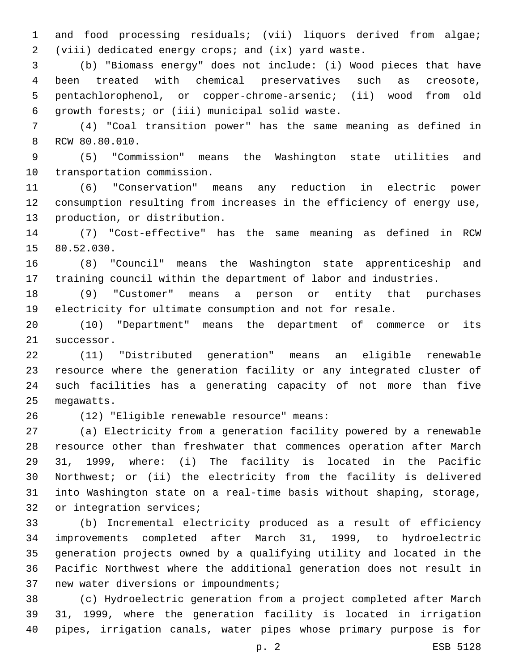and food processing residuals; (vii) liquors derived from algae; (viii) dedicated energy crops; and (ix) yard waste.

 (b) "Biomass energy" does not include: (i) Wood pieces that have been treated with chemical preservatives such as creosote, pentachlorophenol, or copper-chrome-arsenic; (ii) wood from old 6 growth forests; or (iii) municipal solid waste.

 (4) "Coal transition power" has the same meaning as defined in 8 RCW 80.80.010.

 (5) "Commission" means the Washington state utilities and 10 transportation commission.

 (6) "Conservation" means any reduction in electric power consumption resulting from increases in the efficiency of energy use, 13 production, or distribution.

 (7) "Cost-effective" has the same meaning as defined in RCW 15 80.52.030.

 (8) "Council" means the Washington state apprenticeship and training council within the department of labor and industries.

 (9) "Customer" means a person or entity that purchases electricity for ultimate consumption and not for resale.

 (10) "Department" means the department of commerce or its 21 successor.

 (11) "Distributed generation" means an eligible renewable resource where the generation facility or any integrated cluster of such facilities has a generating capacity of not more than five 25 megawatts.

(12) "Eligible renewable resource" means:26

 (a) Electricity from a generation facility powered by a renewable resource other than freshwater that commences operation after March 31, 1999, where: (i) The facility is located in the Pacific Northwest; or (ii) the electricity from the facility is delivered into Washington state on a real-time basis without shaping, storage, 32 or integration services;

 (b) Incremental electricity produced as a result of efficiency improvements completed after March 31, 1999, to hydroelectric generation projects owned by a qualifying utility and located in the Pacific Northwest where the additional generation does not result in 37 new water diversions or impoundments;

 (c) Hydroelectric generation from a project completed after March 31, 1999, where the generation facility is located in irrigation pipes, irrigation canals, water pipes whose primary purpose is for

p. 2 ESB 5128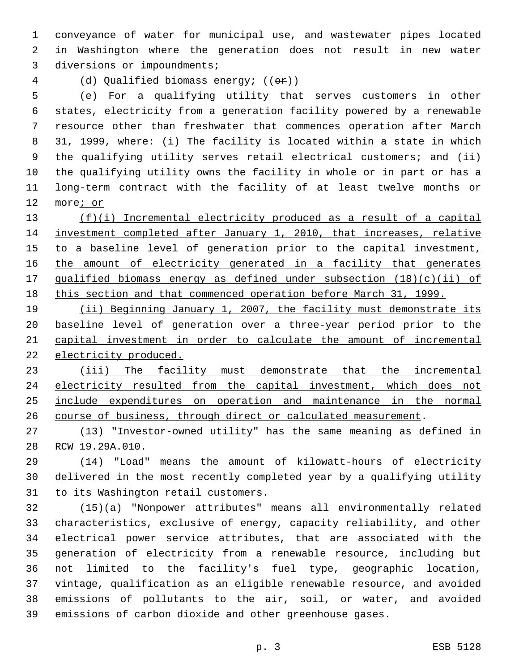conveyance of water for municipal use, and wastewater pipes located in Washington where the generation does not result in new water 3 diversions or impoundments;

(d) Qualified biomass energy; ((or))

 (e) For a qualifying utility that serves customers in other states, electricity from a generation facility powered by a renewable resource other than freshwater that commences operation after March 31, 1999, where: (i) The facility is located within a state in which the qualifying utility serves retail electrical customers; and (ii) the qualifying utility owns the facility in whole or in part or has a long-term contract with the facility of at least twelve months or more; or

 (f)(i) Incremental electricity produced as a result of a capital investment completed after January 1, 2010, that increases, relative 15 to a baseline level of generation prior to the capital investment, 16 the amount of electricity generated in a facility that generates qualified biomass energy as defined under subsection (18)(c)(ii) of this section and that commenced operation before March 31, 1999.

 (ii) Beginning January 1, 2007, the facility must demonstrate its baseline level of generation over a three-year period prior to the capital investment in order to calculate the amount of incremental 22 electricity produced.

 (iii) The facility must demonstrate that the incremental 24 electricity resulted from the capital investment, which does not include expenditures on operation and maintenance in the normal course of business, through direct or calculated measurement.

 (13) "Investor-owned utility" has the same meaning as defined in 28 RCW 19.29A.010.

 (14) "Load" means the amount of kilowatt-hours of electricity delivered in the most recently completed year by a qualifying utility 31 to its Washington retail customers.

 (15)(a) "Nonpower attributes" means all environmentally related characteristics, exclusive of energy, capacity reliability, and other electrical power service attributes, that are associated with the generation of electricity from a renewable resource, including but not limited to the facility's fuel type, geographic location, vintage, qualification as an eligible renewable resource, and avoided emissions of pollutants to the air, soil, or water, and avoided emissions of carbon dioxide and other greenhouse gases.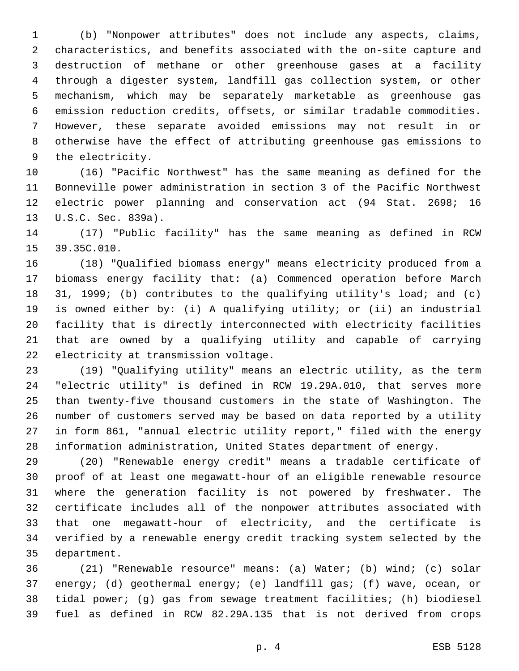(b) "Nonpower attributes" does not include any aspects, claims, characteristics, and benefits associated with the on-site capture and destruction of methane or other greenhouse gases at a facility through a digester system, landfill gas collection system, or other mechanism, which may be separately marketable as greenhouse gas emission reduction credits, offsets, or similar tradable commodities. However, these separate avoided emissions may not result in or otherwise have the effect of attributing greenhouse gas emissions to 9 the electricity.

 (16) "Pacific Northwest" has the same meaning as defined for the Bonneville power administration in section 3 of the Pacific Northwest electric power planning and conservation act (94 Stat. 2698; 16 13 U.S.C. Sec. 839a).

 (17) "Public facility" has the same meaning as defined in RCW 15 39.35C.010.

 (18) "Qualified biomass energy" means electricity produced from a biomass energy facility that: (a) Commenced operation before March 31, 1999; (b) contributes to the qualifying utility's load; and (c) is owned either by: (i) A qualifying utility; or (ii) an industrial facility that is directly interconnected with electricity facilities that are owned by a qualifying utility and capable of carrying 22 electricity at transmission voltage.

 (19) "Qualifying utility" means an electric utility, as the term "electric utility" is defined in RCW 19.29A.010, that serves more than twenty-five thousand customers in the state of Washington. The number of customers served may be based on data reported by a utility in form 861, "annual electric utility report," filed with the energy information administration, United States department of energy.

 (20) "Renewable energy credit" means a tradable certificate of proof of at least one megawatt-hour of an eligible renewable resource where the generation facility is not powered by freshwater. The certificate includes all of the nonpower attributes associated with that one megawatt-hour of electricity, and the certificate is verified by a renewable energy credit tracking system selected by the 35 department.

 (21) "Renewable resource" means: (a) Water; (b) wind; (c) solar energy; (d) geothermal energy; (e) landfill gas; (f) wave, ocean, or tidal power; (g) gas from sewage treatment facilities; (h) biodiesel fuel as defined in RCW 82.29A.135 that is not derived from crops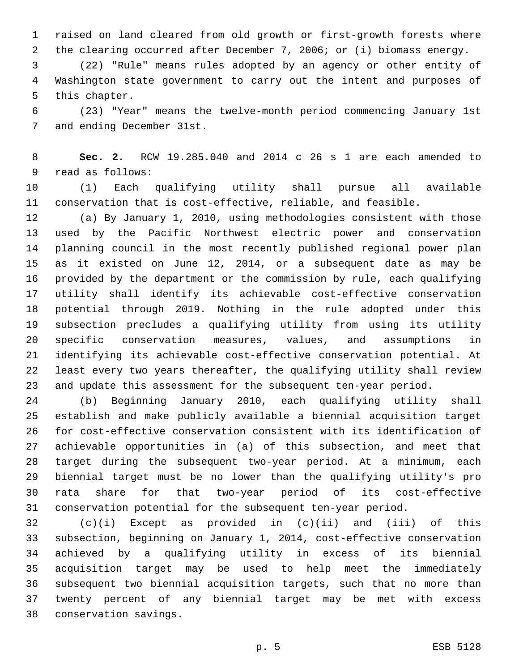raised on land cleared from old growth or first-growth forests where the clearing occurred after December 7, 2006; or (i) biomass energy.

 (22) "Rule" means rules adopted by an agency or other entity of Washington state government to carry out the intent and purposes of 5 this chapter.

 (23) "Year" means the twelve-month period commencing January 1st 7 and ending December 31st.

 **Sec. 2.** RCW 19.285.040 and 2014 c 26 s 1 are each amended to 9 read as follows:

 (1) Each qualifying utility shall pursue all available conservation that is cost-effective, reliable, and feasible.

 (a) By January 1, 2010, using methodologies consistent with those used by the Pacific Northwest electric power and conservation planning council in the most recently published regional power plan as it existed on June 12, 2014, or a subsequent date as may be provided by the department or the commission by rule, each qualifying utility shall identify its achievable cost-effective conservation potential through 2019. Nothing in the rule adopted under this subsection precludes a qualifying utility from using its utility specific conservation measures, values, and assumptions in identifying its achievable cost-effective conservation potential. At least every two years thereafter, the qualifying utility shall review and update this assessment for the subsequent ten-year period.

 (b) Beginning January 2010, each qualifying utility shall establish and make publicly available a biennial acquisition target for cost-effective conservation consistent with its identification of achievable opportunities in (a) of this subsection, and meet that target during the subsequent two-year period. At a minimum, each biennial target must be no lower than the qualifying utility's pro rata share for that two-year period of its cost-effective conservation potential for the subsequent ten-year period.

 (c)(i) Except as provided in (c)(ii) and (iii) of this subsection, beginning on January 1, 2014, cost-effective conservation achieved by a qualifying utility in excess of its biennial acquisition target may be used to help meet the immediately subsequent two biennial acquisition targets, such that no more than twenty percent of any biennial target may be met with excess conservation savings.38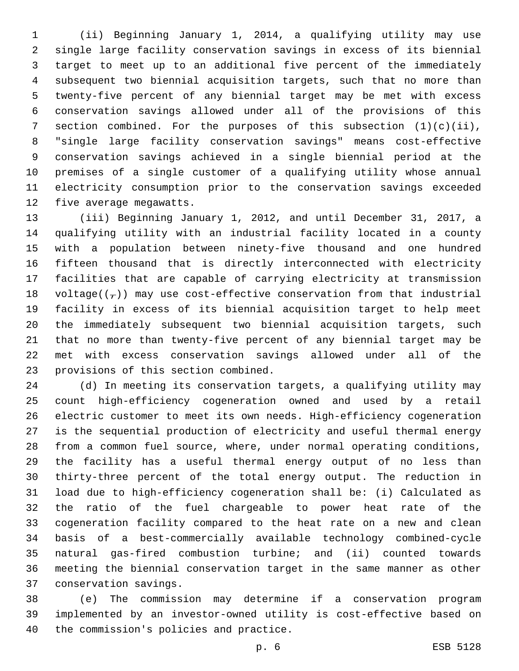(ii) Beginning January 1, 2014, a qualifying utility may use single large facility conservation savings in excess of its biennial target to meet up to an additional five percent of the immediately subsequent two biennial acquisition targets, such that no more than twenty-five percent of any biennial target may be met with excess conservation savings allowed under all of the provisions of this 7 section combined. For the purposes of this subsection  $(1)(c)(ii)$ , "single large facility conservation savings" means cost-effective conservation savings achieved in a single biennial period at the premises of a single customer of a qualifying utility whose annual electricity consumption prior to the conservation savings exceeded 12 five average megawatts.

 (iii) Beginning January 1, 2012, and until December 31, 2017, a qualifying utility with an industrial facility located in a county with a population between ninety-five thousand and one hundred fifteen thousand that is directly interconnected with electricity facilities that are capable of carrying electricity at transmission 18 voltage( $(\frac{1}{r})$ ) may use cost-effective conservation from that industrial facility in excess of its biennial acquisition target to help meet the immediately subsequent two biennial acquisition targets, such that no more than twenty-five percent of any biennial target may be met with excess conservation savings allowed under all of the 23 provisions of this section combined.

 (d) In meeting its conservation targets, a qualifying utility may count high-efficiency cogeneration owned and used by a retail electric customer to meet its own needs. High-efficiency cogeneration is the sequential production of electricity and useful thermal energy from a common fuel source, where, under normal operating conditions, the facility has a useful thermal energy output of no less than thirty-three percent of the total energy output. The reduction in load due to high-efficiency cogeneration shall be: (i) Calculated as the ratio of the fuel chargeable to power heat rate of the cogeneration facility compared to the heat rate on a new and clean basis of a best-commercially available technology combined-cycle natural gas-fired combustion turbine; and (ii) counted towards meeting the biennial conservation target in the same manner as other 37 conservation savings.

 (e) The commission may determine if a conservation program implemented by an investor-owned utility is cost-effective based on 40 the commission's policies and practice.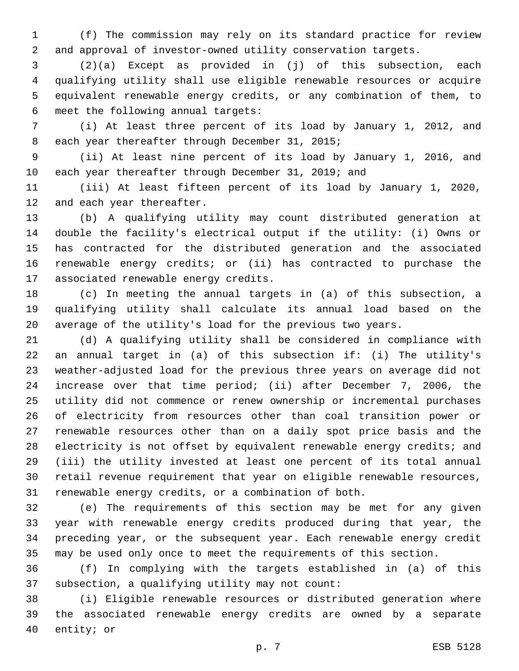(f) The commission may rely on its standard practice for review and approval of investor-owned utility conservation targets.

 (2)(a) Except as provided in (j) of this subsection, each qualifying utility shall use eligible renewable resources or acquire equivalent renewable energy credits, or any combination of them, to 6 meet the following annual targets:

 (i) At least three percent of its load by January 1, 2012, and 8 each year thereafter through December 31, 2015;

 (ii) At least nine percent of its load by January 1, 2016, and each year thereafter through December 31, 2019; and

 (iii) At least fifteen percent of its load by January 1, 2020, 12 and each year thereafter.

 (b) A qualifying utility may count distributed generation at double the facility's electrical output if the utility: (i) Owns or has contracted for the distributed generation and the associated renewable energy credits; or (ii) has contracted to purchase the 17 associated renewable energy credits.

 (c) In meeting the annual targets in (a) of this subsection, a qualifying utility shall calculate its annual load based on the average of the utility's load for the previous two years.

 (d) A qualifying utility shall be considered in compliance with an annual target in (a) of this subsection if: (i) The utility's weather-adjusted load for the previous three years on average did not increase over that time period; (ii) after December 7, 2006, the utility did not commence or renew ownership or incremental purchases of electricity from resources other than coal transition power or renewable resources other than on a daily spot price basis and the electricity is not offset by equivalent renewable energy credits; and (iii) the utility invested at least one percent of its total annual retail revenue requirement that year on eligible renewable resources, renewable energy credits, or a combination of both.

 (e) The requirements of this section may be met for any given year with renewable energy credits produced during that year, the preceding year, or the subsequent year. Each renewable energy credit may be used only once to meet the requirements of this section.

 (f) In complying with the targets established in (a) of this 37 subsection, a qualifying utility may not count:

 (i) Eligible renewable resources or distributed generation where the associated renewable energy credits are owned by a separate 40 entity; or

p. 7 ESB 5128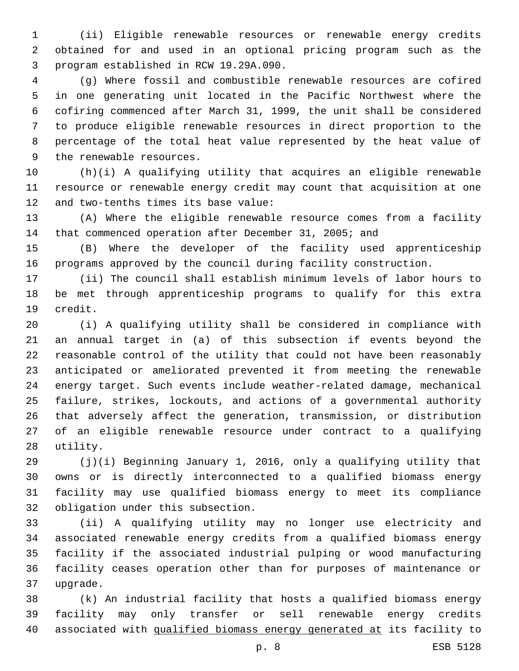(ii) Eligible renewable resources or renewable energy credits obtained for and used in an optional pricing program such as the program established in RCW 19.29A.090.3

 (g) Where fossil and combustible renewable resources are cofired in one generating unit located in the Pacific Northwest where the cofiring commenced after March 31, 1999, the unit shall be considered to produce eligible renewable resources in direct proportion to the percentage of the total heat value represented by the heat value of 9 the renewable resources.

 (h)(i) A qualifying utility that acquires an eligible renewable resource or renewable energy credit may count that acquisition at one 12 and two-tenths times its base value:

 (A) Where the eligible renewable resource comes from a facility that commenced operation after December 31, 2005; and

 (B) Where the developer of the facility used apprenticeship programs approved by the council during facility construction.

 (ii) The council shall establish minimum levels of labor hours to be met through apprenticeship programs to qualify for this extra 19 credit.

 (i) A qualifying utility shall be considered in compliance with an annual target in (a) of this subsection if events beyond the reasonable control of the utility that could not have been reasonably anticipated or ameliorated prevented it from meeting the renewable energy target. Such events include weather-related damage, mechanical failure, strikes, lockouts, and actions of a governmental authority that adversely affect the generation, transmission, or distribution of an eligible renewable resource under contract to a qualifying 28 utility.

 (j)(i) Beginning January 1, 2016, only a qualifying utility that owns or is directly interconnected to a qualified biomass energy facility may use qualified biomass energy to meet its compliance 32 obligation under this subsection.

 (ii) A qualifying utility may no longer use electricity and associated renewable energy credits from a qualified biomass energy facility if the associated industrial pulping or wood manufacturing facility ceases operation other than for purposes of maintenance or 37 upgrade.

 (k) An industrial facility that hosts a qualified biomass energy facility may only transfer or sell renewable energy credits associated with qualified biomass energy generated at its facility to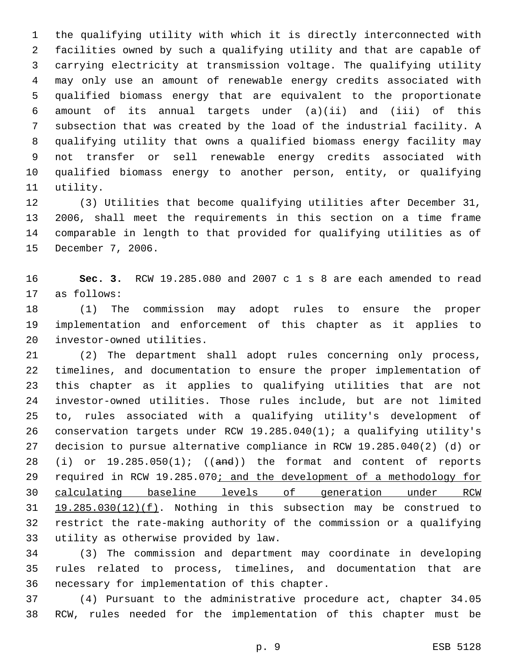the qualifying utility with which it is directly interconnected with facilities owned by such a qualifying utility and that are capable of carrying electricity at transmission voltage. The qualifying utility may only use an amount of renewable energy credits associated with qualified biomass energy that are equivalent to the proportionate amount of its annual targets under (a)(ii) and (iii) of this subsection that was created by the load of the industrial facility. A qualifying utility that owns a qualified biomass energy facility may not transfer or sell renewable energy credits associated with qualified biomass energy to another person, entity, or qualifying 11 utility.

 (3) Utilities that become qualifying utilities after December 31, 2006, shall meet the requirements in this section on a time frame comparable in length to that provided for qualifying utilities as of 15 December 7, 2006.

 **Sec. 3.** RCW 19.285.080 and 2007 c 1 s 8 are each amended to read 17 as follows:

 (1) The commission may adopt rules to ensure the proper implementation and enforcement of this chapter as it applies to 20 investor-owned utilities.

 (2) The department shall adopt rules concerning only process, timelines, and documentation to ensure the proper implementation of this chapter as it applies to qualifying utilities that are not investor-owned utilities. Those rules include, but are not limited to, rules associated with a qualifying utility's development of conservation targets under RCW 19.285.040(1); a qualifying utility's decision to pursue alternative compliance in RCW 19.285.040(2) (d) or 28 (i) or  $19.285.050(1)$ ; ((and)) the format and content of reports 29 required in RCW 19.285.070; and the development of a methodology for calculating baseline levels of generation under RCW 19.285.030(12)(f). Nothing in this subsection may be construed to restrict the rate-making authority of the commission or a qualifying 33 utility as otherwise provided by law.

 (3) The commission and department may coordinate in developing rules related to process, timelines, and documentation that are 36 necessary for implementation of this chapter.

 (4) Pursuant to the administrative procedure act, chapter 34.05 RCW, rules needed for the implementation of this chapter must be